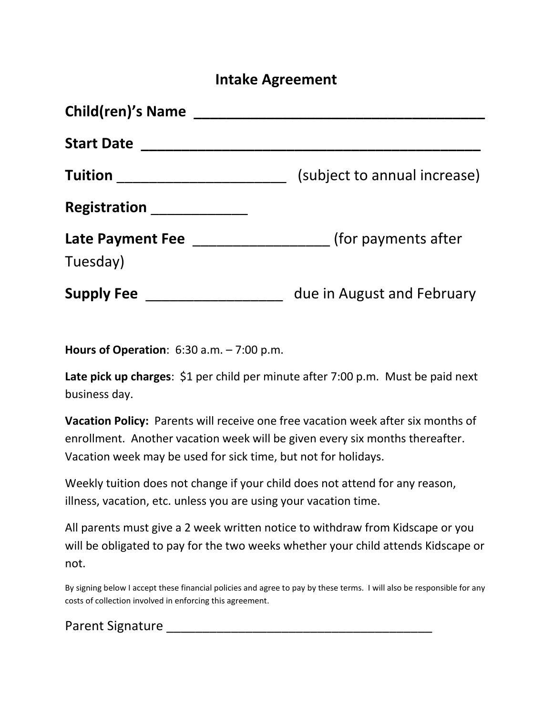### **Intake Agreement**

| <b>Child(ren)'s Name</b>            |                              |
|-------------------------------------|------------------------------|
| <b>Start Date</b>                   |                              |
| <b>Tuition</b>                      | (subject to annual increase) |
| Registration                        |                              |
| <b>Late Payment Fee</b><br>Tuesday) | (for payments after          |
| <b>Supply Fee</b>                   | due in August and February   |

**Hours of Operation**: 6:30 a.m. – 7:00 p.m.

**Late pick up charges**: \$1 per child per minute after 7:00 p.m. Must be paid next business day.

**Vacation Policy:** Parents will receive one free vacation week after six months of enrollment. Another vacation week will be given every six months thereafter. Vacation week may be used for sick time, but not for holidays.

Weekly tuition does not change if your child does not attend for any reason, illness, vacation, etc. unless you are using your vacation time.

All parents must give a 2 week written notice to withdraw from Kidscape or you will be obligated to pay for the two weeks whether your child attends Kidscape or not.

By signing below I accept these financial policies and agree to pay by these terms. I will also be responsible for any costs of collection involved in enforcing this agreement.

Parent Signature **Example 20**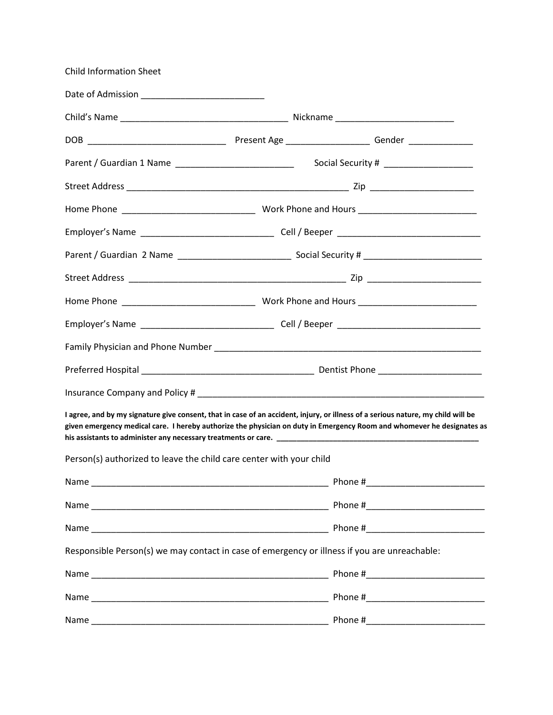| <b>Child Information Sheet</b>                                                                                                                                                                                                                             |                                       |  |
|------------------------------------------------------------------------------------------------------------------------------------------------------------------------------------------------------------------------------------------------------------|---------------------------------------|--|
|                                                                                                                                                                                                                                                            |                                       |  |
|                                                                                                                                                                                                                                                            |                                       |  |
|                                                                                                                                                                                                                                                            |                                       |  |
|                                                                                                                                                                                                                                                            | Social Security # ___________________ |  |
|                                                                                                                                                                                                                                                            |                                       |  |
|                                                                                                                                                                                                                                                            |                                       |  |
|                                                                                                                                                                                                                                                            |                                       |  |
|                                                                                                                                                                                                                                                            |                                       |  |
|                                                                                                                                                                                                                                                            |                                       |  |
|                                                                                                                                                                                                                                                            |                                       |  |
|                                                                                                                                                                                                                                                            |                                       |  |
|                                                                                                                                                                                                                                                            |                                       |  |
|                                                                                                                                                                                                                                                            |                                       |  |
|                                                                                                                                                                                                                                                            |                                       |  |
| I agree, and by my signature give consent, that in case of an accident, injury, or illness of a serious nature, my child will be<br>given emergency medical care. I hereby authorize the physician on duty in Emergency Room and whomever he designates as |                                       |  |
| Person(s) authorized to leave the child care center with your child                                                                                                                                                                                        |                                       |  |
|                                                                                                                                                                                                                                                            |                                       |  |
|                                                                                                                                                                                                                                                            |                                       |  |
|                                                                                                                                                                                                                                                            |                                       |  |
| Responsible Person(s) we may contact in case of emergency or illness if you are unreachable:                                                                                                                                                               |                                       |  |
|                                                                                                                                                                                                                                                            |                                       |  |
|                                                                                                                                                                                                                                                            |                                       |  |
|                                                                                                                                                                                                                                                            |                                       |  |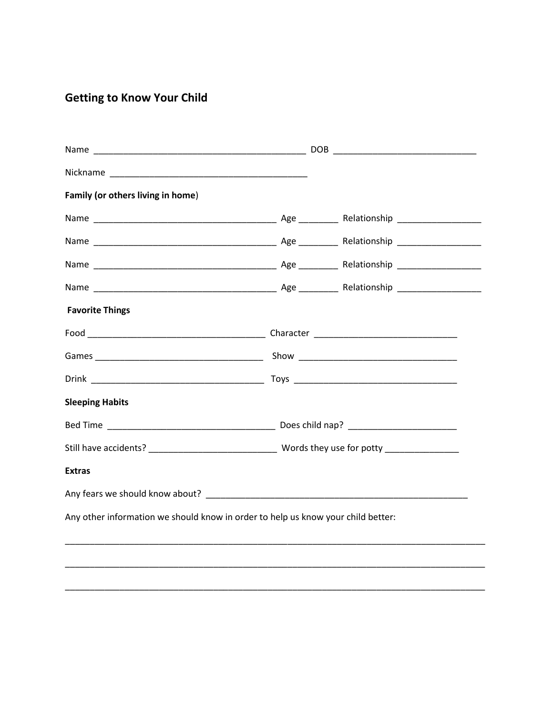### **Getting to Know Your Child**

| Family (or others living in home) |                                                                                  |  |
|-----------------------------------|----------------------------------------------------------------------------------|--|
|                                   |                                                                                  |  |
|                                   |                                                                                  |  |
|                                   |                                                                                  |  |
|                                   |                                                                                  |  |
| <b>Favorite Things</b>            |                                                                                  |  |
|                                   |                                                                                  |  |
|                                   |                                                                                  |  |
|                                   |                                                                                  |  |
| <b>Sleeping Habits</b>            |                                                                                  |  |
|                                   |                                                                                  |  |
|                                   |                                                                                  |  |
| <b>Extras</b>                     |                                                                                  |  |
|                                   |                                                                                  |  |
|                                   | Any other information we should know in order to help us know your child better: |  |
|                                   |                                                                                  |  |
|                                   |                                                                                  |  |
|                                   |                                                                                  |  |